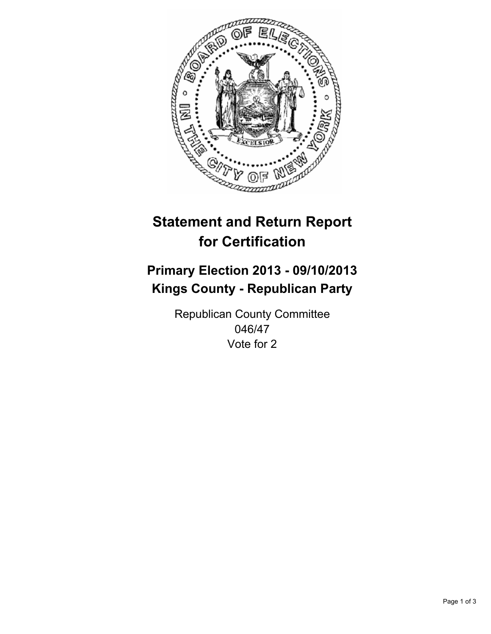

# **Statement and Return Report for Certification**

## **Primary Election 2013 - 09/10/2013 Kings County - Republican Party**

Republican County Committee 046/47 Vote for 2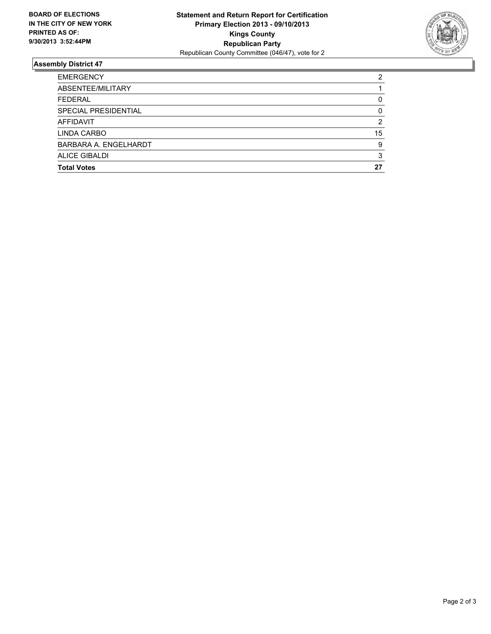

#### **Assembly District 47**

| <b>EMERGENCY</b>      | 2  |
|-----------------------|----|
| ABSENTEE/MILITARY     |    |
| <b>FEDERAL</b>        | 0  |
| SPECIAL PRESIDENTIAL  | 0  |
| <b>AFFIDAVIT</b>      | 2  |
| LINDA CARBO           | 15 |
| BARBARA A. ENGELHARDT | 9  |
| ALICE GIBALDI         | 3  |
| <b>Total Votes</b>    | 27 |